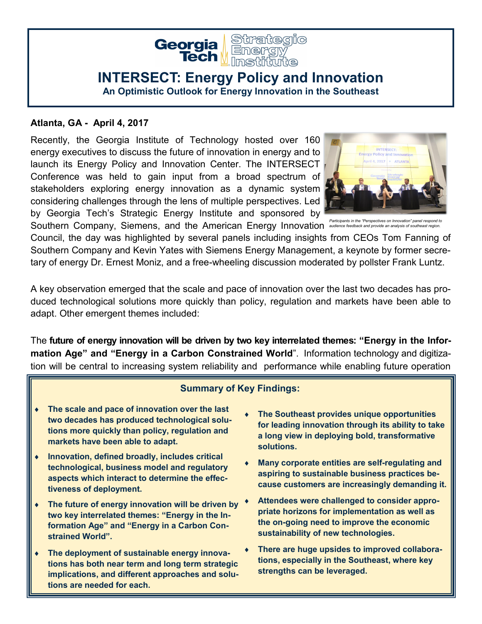

## **INTERSECT: Energy Policy and Innovation**

**An Optimistic Outlook for Energy Innovation in the Southeast**

## **Atlanta, GA - April 4, 2017**

Recently, the Georgia Institute of Technology hosted over 160 energy executives to discuss the future of innovation in energy and to launch its Energy Policy and Innovation Center. The INTERSECT Conference was held to gain input from a broad spectrum of stakeholders exploring energy innovation as a dynamic system considering challenges through the lens of multiple perspectives. Led by Georgia Tech's Strategic Energy Institute and sponsored by



Southern Company, Siemens, and the American Energy Innovation and *Participants in the "Perspectives on Innovation" panel respond to* 

Council, the day was highlighted by several panels including insights from CEOs Tom Fanning of Southern Company and Kevin Yates with Siemens Energy Management, a keynote by former secretary of energy Dr. Ernest Moniz, and a free-wheeling discussion moderated by pollster Frank Luntz.

A key observation emerged that the scale and pace of innovation over the last two decades has produced technological solutions more quickly than policy, regulation and markets have been able to adapt. Other emergent themes included:

The **future of energy innovation will be driven by two key interrelated themes: "Energy in the Information Age" and "Energy in a Carbon Constrained World**". Information technology and digitization will be central to increasing system reliability and performance while enabling future operation

## **Summary of Key Findings:**

- **The scale and pace of innovation over the last two decades has produced technological solutions more quickly than policy, regulation and markets have been able to adapt.**
- **Innovation, defined broadly, includes critical technological, business model and regulatory aspects which interact to determine the effectiveness of deployment.**
- **The future of energy innovation will be driven by two key interrelated themes: "Energy in the Information Age" and "Energy in a Carbon Constrained World".**
- **The deployment of sustainable energy innovations has both near term and long term strategic implications, and different approaches and solutions are needed for each.**
- **The Southeast provides unique opportunities for leading innovation through its ability to take a long view in deploying bold, transformative solutions.**
- **Many corporate entities are self-regulating and aspiring to sustainable business practices because customers are increasingly demanding it.**
- **Attendees were challenged to consider appropriate horizons for implementation as well as the on-going need to improve the economic sustainability of new technologies.**
- **There are huge upsides to improved collaborations, especially in the Southeast, where key strengths can be leveraged.**